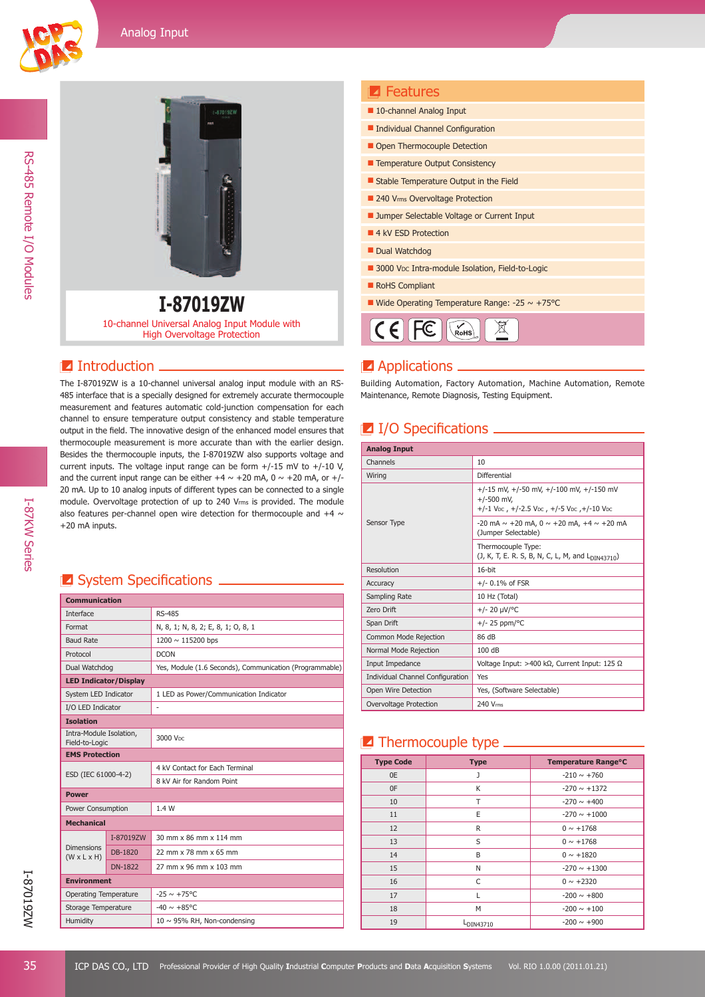RS-485 Remote I/O Modules

RS-485 Remote I/O Modules



#### Wide Operating Temperature Range: -25 ~ +75°C **I-87019ZW** 10-channel Universal Analog Input Module with High Overvoltage Protection

#### $\blacksquare$  Introduction.

The I-87019ZW is a 10-channel universal analog input module with an RS-485 interface that is a specially designed for extremely accurate thermocouple measurement and features automatic cold-junction compensation for each channel to ensure temperature output consistency and stable temperature output in the field. The innovative design of the enhanced model ensures that thermocouple measurement is more accurate than with the earlier design. Besides the thermocouple inputs, the I-87019ZW also supports voltage and current inputs. The voltage input range can be form  $+/-15$  mV to  $+/-10$  V, and the current input range can be either  $+4 \sim +20$  mA, 0  $\sim +20$  mA, or  $+/-$ 20 mA. Up to 10 analog inputs of different types can be connected to a single module. Overvoltage protection of up to 240 Vrms is provided. The module also features per-channel open wire detection for thermocouple and  $+4 \sim$ +20 mA inputs.

## **E** System Specifications **Latings**

| <b>Communication</b>                         |                |                                                         |  |  |
|----------------------------------------------|----------------|---------------------------------------------------------|--|--|
| Interface                                    |                | <b>RS-485</b>                                           |  |  |
| Format                                       |                | N, 8, 1; N, 8, 2; E, 8, 1; O, 8, 1                      |  |  |
| <b>Baud Rate</b>                             |                | 1200 $\sim$ 115200 bps                                  |  |  |
| Protocol                                     |                | <b>DCON</b>                                             |  |  |
| Dual Watchdog                                |                | Yes, Module (1.6 Seconds), Communication (Programmable) |  |  |
| <b>LED Indicator/Display</b>                 |                |                                                         |  |  |
| System LED Indicator                         |                | 1 LED as Power/Communication Indicator                  |  |  |
| I/O LED Indicator                            |                | ä,                                                      |  |  |
| <b>Isolation</b>                             |                |                                                         |  |  |
| Intra-Module Isolation,<br>Field-to-Logic    |                | 3000 V <sub>DC</sub>                                    |  |  |
| <b>EMS Protection</b>                        |                |                                                         |  |  |
| ESD (IEC 61000-4-2)                          |                | 4 kV Contact for Each Terminal                          |  |  |
|                                              |                | 8 kV Air for Random Point                               |  |  |
| <b>Power</b>                                 |                |                                                         |  |  |
| Power Consumption                            |                | 1.4W                                                    |  |  |
| <b>Mechanical</b>                            |                |                                                         |  |  |
|                                              | I-87019ZW      | 30 mm x 86 mm x 114 mm                                  |  |  |
| <b>Dimensions</b><br>$(W \times L \times H)$ | DB-1820        | 22 mm x 78 mm x 65 mm                                   |  |  |
|                                              | <b>DN-1822</b> | 27 mm x 96 mm x 103 mm                                  |  |  |
| <b>Environment</b>                           |                |                                                         |  |  |
| <b>Operating Temperature</b>                 |                | $-25 \sim +75^{\circ}$ C                                |  |  |
| Storage Temperature                          |                | $-40 \sim +85^{\circ}$ C                                |  |  |
| Humidity                                     |                | $10 \sim 95\%$ RH, Non-condensing                       |  |  |

| 10-channel Analog Input                                     |
|-------------------------------------------------------------|
| Individual Channel Configuration                            |
| Open Thermocouple Detection                                 |
| <b>E</b> Temperature Output Consistency                     |
| Stable Temperature Output in the Field                      |
| 240 Vrms Overvoltage Protection                             |
| ■ Jumper Selectable Voltage or Current Input                |
| 4 kV ESD Protection                                         |
| Dual Watchdog                                               |
| 3000 V <sub>DC</sub> Intra-module Isolation, Field-to-Logic |
| RoHS Compliant                                              |
| ■ Wide Operating Temperature Range: -25 $\sim$ +75 °C       |
|                                                             |

## **Applications**.

**7** Features

Building Automation, Factory Automation, Machine Automation, Remote Maintenance, Remote Diagnosis, Testing Equipment.

## $\blacksquare$  I/O Specifications  $\blacksquare$

| <b>Analog Input</b>              |                                                                                                               |  |  |  |
|----------------------------------|---------------------------------------------------------------------------------------------------------------|--|--|--|
| Channels                         | 10                                                                                                            |  |  |  |
| Wiring                           | Differential                                                                                                  |  |  |  |
|                                  | $+/-15$ mV, $+/-50$ mV, $+/-100$ mV, $+/-150$ mV<br>$+/-500$ mV,<br>+/-1 Vpc, +/-2.5 Vpc, +/-5 Vpc, +/-10 Vpc |  |  |  |
| Sensor Type                      | $-20$ mA $\sim$ +20 mA, 0 $\sim$ +20 mA, +4 $\sim$ +20 mA<br>(Jumper Selectable)                              |  |  |  |
|                                  | Thermocouple Type:<br>(J, K, T, E. R. S, B, N, C, L, M, and L <sub>DIN43710</sub> )                           |  |  |  |
| Resolution                       | $16$ -bit                                                                                                     |  |  |  |
| Accuracy                         | $+/- 0.1\%$ of FSR                                                                                            |  |  |  |
| Sampling Rate                    | 10 Hz (Total)                                                                                                 |  |  |  |
| Zero Drift                       | +/- 20 µV/°C                                                                                                  |  |  |  |
| Span Drift                       | $+/- 25$ ppm/°C                                                                                               |  |  |  |
| Common Mode Rejection            | 86 dB                                                                                                         |  |  |  |
| Normal Mode Rejection            | 100dB                                                                                                         |  |  |  |
| Input Impedance                  | Voltage Input: >400 k $\Omega$ , Current Input: 125 $\Omega$                                                  |  |  |  |
| Individual Channel Configuration | Yes                                                                                                           |  |  |  |
| Open Wire Detection              | Yes, (Software Selectable)                                                                                    |  |  |  |
| Overvoltage Protection           | 240 Vms                                                                                                       |  |  |  |

## $\blacksquare$  Thermocouple type  $\blacksquare$

| <b>Type Code</b> | <b>Type</b>           | Temperature Range°C |
|------------------|-----------------------|---------------------|
| 0E               | J                     | $-210 \sim +760$    |
| 0F               | К                     | $-270 \sim +1372$   |
| 10               | T                     | $-270 \sim +400$    |
| 11               | E                     | $-270 \sim +1000$   |
| 12               | R                     | $0 \sim +1768$      |
| 13               | S                     | $0 \sim +1768$      |
| 14               | B                     | $0 \sim +1820$      |
| 15               | N                     | $-270 \sim +1300$   |
| 16               | C                     | $0 \sim +2320$      |
| 17               | L                     | $-200 \sim +800$    |
| 18               | M                     | $-200 \sim +100$    |
| 19               | L <sub>DIN43710</sub> | $-200 \sim +900$    |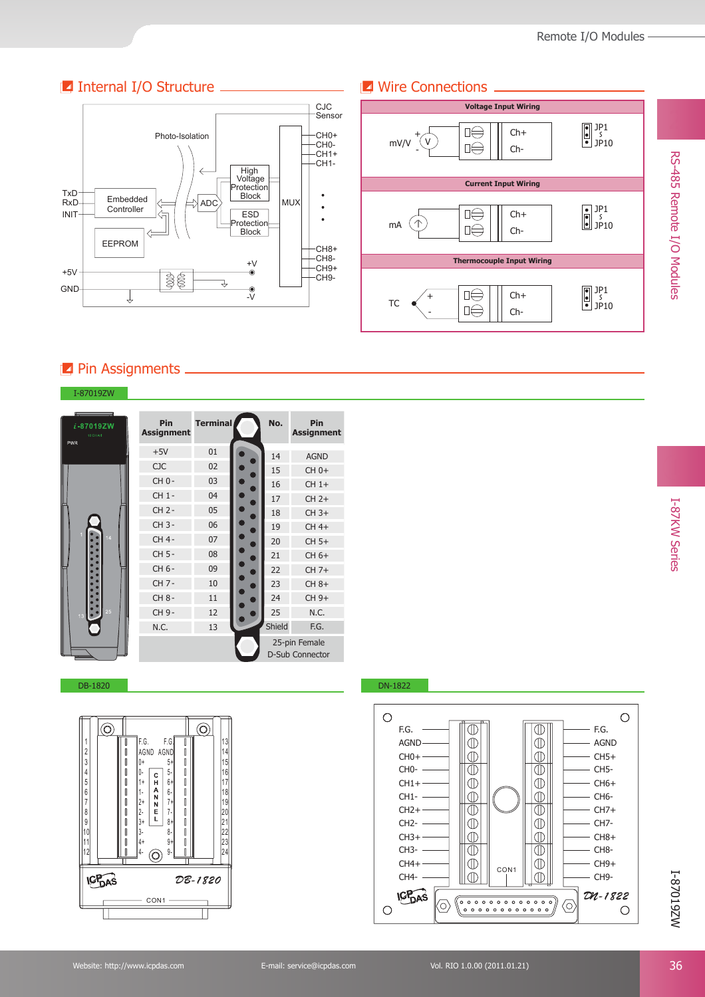## **I** Internal I/O Structure **Wire Connections**





# **Pin Assignments**

#### I-87019ZW

| i-87019ZW<br>10 CHA/I<br>PWR | Pin<br><b>Assignment</b> | <b>Terminal</b> | No.    | Pin<br><b>Assignment</b>                |
|------------------------------|--------------------------|-----------------|--------|-----------------------------------------|
|                              | $+5V$                    | 01              | 14     | <b>AGND</b>                             |
|                              | <b>CJC</b>               | 02              | 15     | $CH 0+$                                 |
|                              | $CHO -$                  | 03              | 16     | $CH 1+$                                 |
|                              | CH 1-                    | 04              | 17     | $CH2+$                                  |
|                              | $CH 2 -$                 | 05              | 18     | $CH 3+$                                 |
|                              | CH 3-                    | 06              | 19     | CH 4+                                   |
| 14                           | CH 4-                    | 07              | 20     | $CH 5+$                                 |
|                              | CH 5-                    | 08              | 21     | CH 6+                                   |
|                              | CH 6-                    | 09              | 22     | CH 7+                                   |
|                              | CH 7-                    | 10              | 23     | $CH 8+$                                 |
|                              | CH 8-                    | 11              | 24     | CH 9+                                   |
| 25<br>$\bullet$<br>13        | CH 9-                    | 12              | 25     | N.C.                                    |
|                              | N.C.                     | 13              | Shield | F.G.                                    |
|                              |                          |                 |        | 25-pin Female<br><b>D-Sub Connector</b> |



#### DB-1820 DN-1822



I-87019ZW

WZ610Z8-I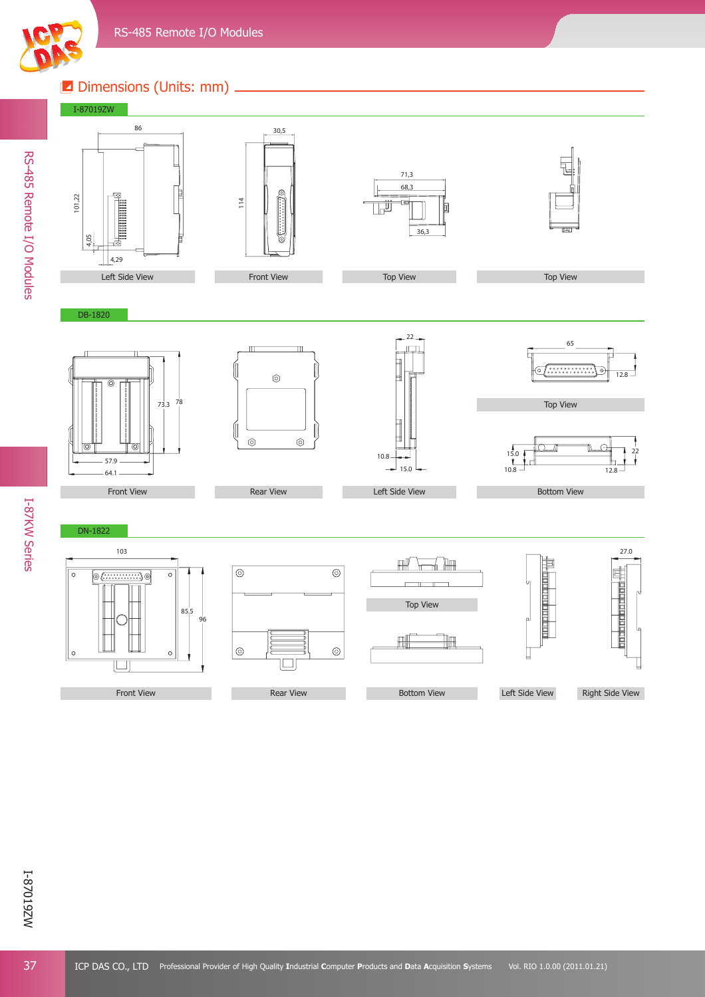

# **Z** Dimensions (Units: mm) \_